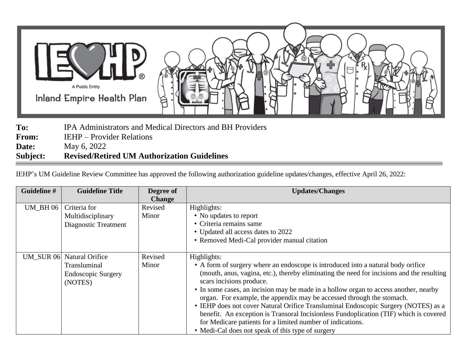

**To:** IPA Administrators and Medical Directors and BH Providers **From:** IEHP – Provider Relations **Date:** May 6, 2022

## **Subject: Revised/Retired UM Authorization Guidelines**

IEHP's UM Guideline Review Committee has approved the following authorization guideline updates/changes, effective April 26, 2022:

| Guideline # | <b>Guideline Title</b>                                                            | Degree of<br><b>Change</b> | <b>Updates/Changes</b>                                                                                                                                                                                                                                                                                                                                                                                                                                                                                                                                                                                                                                                                      |
|-------------|-----------------------------------------------------------------------------------|----------------------------|---------------------------------------------------------------------------------------------------------------------------------------------------------------------------------------------------------------------------------------------------------------------------------------------------------------------------------------------------------------------------------------------------------------------------------------------------------------------------------------------------------------------------------------------------------------------------------------------------------------------------------------------------------------------------------------------|
| $UM_BH06$   | Criteria for                                                                      | Revised                    | Highlights:                                                                                                                                                                                                                                                                                                                                                                                                                                                                                                                                                                                                                                                                                 |
|             | Multidisciplinary<br>Diagnostic Treatment                                         | Minor                      | • No updates to report<br>• Criteria remains same                                                                                                                                                                                                                                                                                                                                                                                                                                                                                                                                                                                                                                           |
|             |                                                                                   |                            | • Updated all access dates to 2022<br>• Removed Medi-Cal provider manual citation                                                                                                                                                                                                                                                                                                                                                                                                                                                                                                                                                                                                           |
|             | UM_SUR 06 Natural Orifice<br>Transluminal<br><b>Endoscopic Surgery</b><br>(NOTES) | Revised<br>Minor           | Highlights:<br>• A form of surgery where an endoscope is introduced into a natural body orifice<br>(mouth, anus, vagina, etc.), thereby eliminating the need for incisions and the resulting<br>scars incisions produce.<br>• In some cases, an incision may be made in a hollow organ to access another, nearby<br>organ. For example, the appendix may be accessed through the stomach.<br>• IEHP does not cover Natural Orifice Transluminal Endoscopic Surgery (NOTES) as a<br>benefit. An exception is Transoral Incisionless Fundoplication (TIF) which is covered<br>for Medicare patients for a limited number of indications.<br>• Medi-Cal does not speak of this type of surgery |